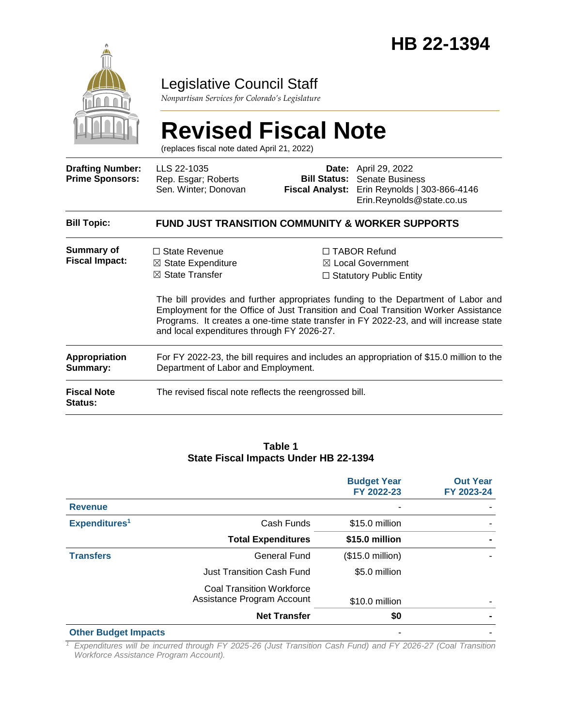

### Legislative Council Staff

*Nonpartisan Services for Colorado's Legislature*

# **Revised Fiscal Note**

(replaces fiscal note dated April 21, 2022)

| <b>Drafting Number:</b><br><b>Prime Sponsors:</b> | LLS 22-1035<br>Rep. Esgar; Roberts<br>Sen. Winter; Donovan                                                                        | <b>Bill Status:</b><br><b>Fiscal Analyst:</b> | <b>Date:</b> April 29, 2022<br><b>Senate Business</b><br>Erin Reynolds   303-866-4146<br>Erin.Reynolds@state.co.us                                                                                                                                                                                                                                        |
|---------------------------------------------------|-----------------------------------------------------------------------------------------------------------------------------------|-----------------------------------------------|-----------------------------------------------------------------------------------------------------------------------------------------------------------------------------------------------------------------------------------------------------------------------------------------------------------------------------------------------------------|
| <b>Bill Topic:</b>                                | <b>FUND JUST TRANSITION COMMUNITY &amp; WORKER SUPPORTS</b>                                                                       |                                               |                                                                                                                                                                                                                                                                                                                                                           |
| Summary of<br><b>Fiscal Impact:</b>               | $\Box$ State Revenue<br>$\boxtimes$ State Expenditure<br>$\boxtimes$ State Transfer<br>and local expenditures through FY 2026-27. |                                               | $\Box$ TABOR Refund<br>$\boxtimes$ Local Government<br>$\Box$ Statutory Public Entity<br>The bill provides and further appropriates funding to the Department of Labor and<br>Employment for the Office of Just Transition and Coal Transition Worker Assistance<br>Programs. It creates a one-time state transfer in FY 2022-23, and will increase state |
| <b>Appropriation</b><br>Summary:                  | For FY 2022-23, the bill requires and includes an appropriation of \$15.0 million to the<br>Department of Labor and Employment.   |                                               |                                                                                                                                                                                                                                                                                                                                                           |
| <b>Fiscal Note</b><br><b>Status:</b>              | The revised fiscal note reflects the reengrossed bill.                                                                            |                                               |                                                                                                                                                                                                                                                                                                                                                           |

#### **Table 1 State Fiscal Impacts Under HB 22-1394**

|                             |                                                                | <b>Budget Year</b><br>FY 2022-23 | <b>Out Year</b><br>FY 2023-24 |
|-----------------------------|----------------------------------------------------------------|----------------------------------|-------------------------------|
| <b>Revenue</b>              |                                                                |                                  |                               |
| Expenditures <sup>1</sup>   | Cash Funds                                                     | \$15.0 million                   |                               |
|                             | <b>Total Expenditures</b>                                      | \$15.0 million                   |                               |
| <b>Transfers</b>            | <b>General Fund</b>                                            | $($15.0 \text{ million})$        |                               |
|                             | <b>Just Transition Cash Fund</b>                               | \$5.0 million                    |                               |
|                             | <b>Coal Transition Workforce</b><br>Assistance Program Account | \$10.0 million                   |                               |
|                             | <b>Net Transfer</b>                                            | \$0                              |                               |
| <b>Other Budget Impacts</b> |                                                                |                                  |                               |

*<sup>1</sup> Expenditures will be incurred through FY 2025-26 (Just Transition Cash Fund) and FY 2026-27 (Coal Transition Workforce Assistance Program Account).*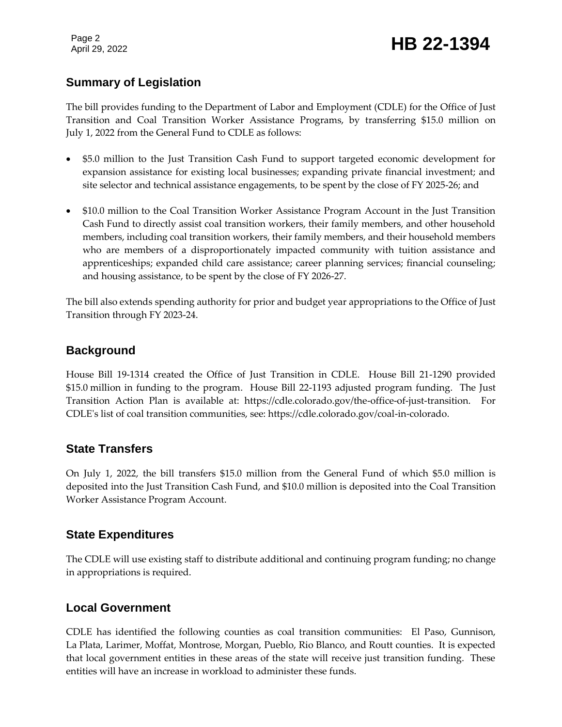Page 2

## Page 2<br>April 29, 2022 **HB 22-1394**

#### **Summary of Legislation**

The bill provides funding to the Department of Labor and Employment (CDLE) for the Office of Just Transition and Coal Transition Worker Assistance Programs, by transferring \$15.0 million on July 1, 2022 from the General Fund to CDLE as follows:

- \$5.0 million to the Just Transition Cash Fund to support targeted economic development for expansion assistance for existing local businesses; expanding private financial investment; and site selector and technical assistance engagements, to be spent by the close of FY 2025-26; and
- \$10.0 million to the Coal Transition Worker Assistance Program Account in the Just Transition Cash Fund to directly assist coal transition workers, their family members, and other household members, including coal transition workers, their family members, and their household members who are members of a disproportionately impacted community with tuition assistance and apprenticeships; expanded child care assistance; career planning services; financial counseling; and housing assistance, to be spent by the close of FY 2026-27.

The bill also extends spending authority for prior and budget year appropriations to the Office of Just Transition through FY 2023-24.

#### **Background**

House Bill 19-1314 created the Office of Just Transition in CDLE. House Bill 21-1290 provided \$15.0 million in funding to the program. House Bill 22-1193 adjusted program funding. The Just Transition Action Plan is available at: https://cdle.colorado.gov/the-office-of-just-transition. For CDLE's list of coal transition communities, see: https://cdle.colorado.gov/coal-in-colorado.

#### **State Transfers**

On July 1, 2022, the bill transfers \$15.0 million from the General Fund of which \$5.0 million is deposited into the Just Transition Cash Fund, and \$10.0 million is deposited into the Coal Transition Worker Assistance Program Account.

#### **State Expenditures**

The CDLE will use existing staff to distribute additional and continuing program funding; no change in appropriations is required.

#### **Local Government**

CDLE has identified the following counties as coal transition communities: El Paso, Gunnison, La Plata, Larimer, Moffat, Montrose, Morgan, Pueblo, Rio Blanco, and Routt counties. It is expected that local government entities in these areas of the state will receive just transition funding. These entities will have an increase in workload to administer these funds.